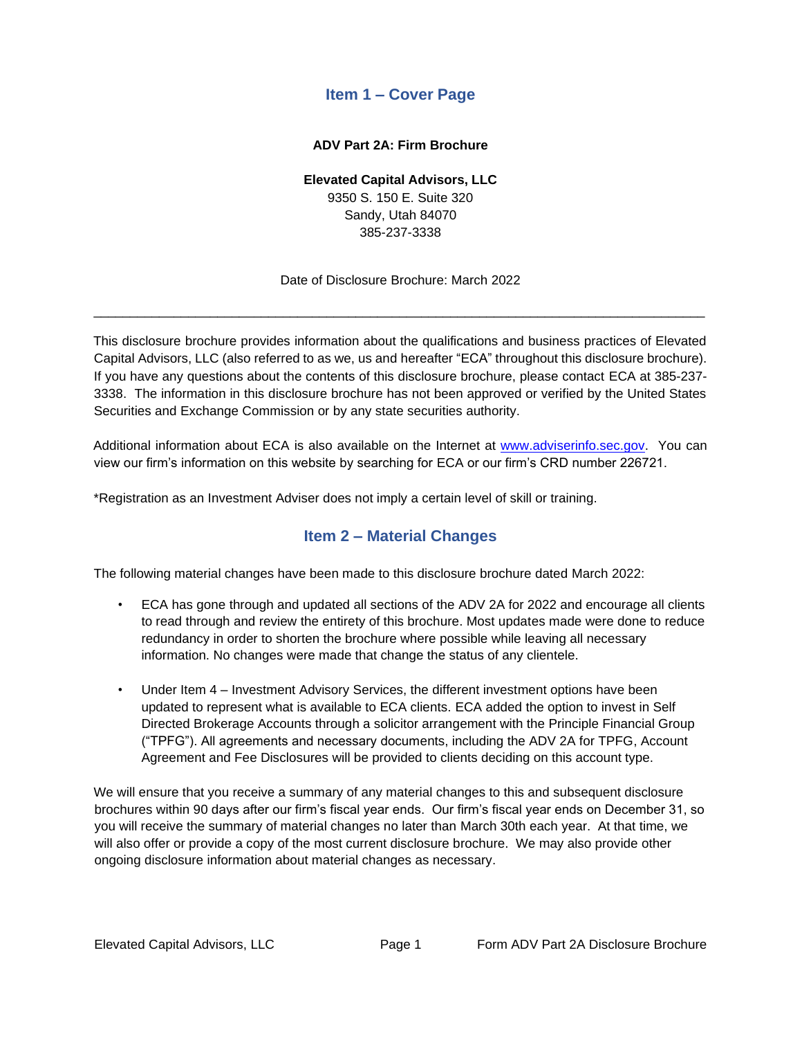# **Item 1 – Cover Page**

#### **ADV Part 2A: Firm Brochure**

#### **Elevated Capital Advisors, LLC**

9350 S. 150 E. Suite 320 Sandy, Utah 84070 385-237-3338

Date of Disclosure Brochure: March 2022

<span id="page-0-0"></span>\_\_\_\_\_\_\_\_\_\_\_\_\_\_\_\_\_\_\_\_\_\_\_\_\_\_\_\_\_\_\_\_\_\_\_\_\_\_\_\_\_\_\_\_\_\_\_\_\_\_\_\_\_\_\_\_\_\_\_\_\_\_\_\_\_\_\_\_\_\_\_\_\_\_\_\_\_\_\_\_\_\_\_\_

This disclosure brochure provides information about the qualifications and business practices of Elevated Capital Advisors, LLC (also referred to as we, us and hereafter "ECA" throughout this disclosure brochure). If you have any questions about the contents of this disclosure brochure, please contact ECA at 385-237- 3338. The information in this disclosure brochure has not been approved or verified by the United States Securities and Exchange Commission or by any state securities authority.

Additional information about ECA is also available on the Internet at www.adviserinfo.sec.gov. You can view our firm's information on this website by searching for ECA or our firm's CRD number 226721.

<span id="page-0-1"></span>\*Registration as an Investment Adviser does not imply a certain level of skill or training.

# **Item 2 – Material Changes**

The following material changes have been made to this disclosure brochure dated March 2022:

- ECA has gone through and updated all sections of the ADV 2A for 2022 and encourage all clients to read through and review the entirety of this brochure. Most updates made were done to reduce redundancy in order to shorten the brochure where possible while leaving all necessary information. No changes were made that change the status of any clientele.
- Under Item 4 Investment Advisory Services, the different investment options have been updated to represent what is available to ECA clients. ECA added the option to invest in Self Directed Brokerage Accounts through a solicitor arrangement with the Principle Financial Group ("TPFG"). All agreements and necessary documents, including the ADV 2A for TPFG, Account Agreement and Fee Disclosures will be provided to clients deciding on this account type.

We will ensure that you receive a summary of any material changes to this and subsequent disclosure brochures within 90 days after our firm's fiscal year ends. Our firm's fiscal year ends on December 31, so you will receive the summary of material changes no later than March 30th each year. At that time, we will also offer or provide a copy of the most current disclosure brochure. We may also provide other ongoing disclosure information about material changes as necessary.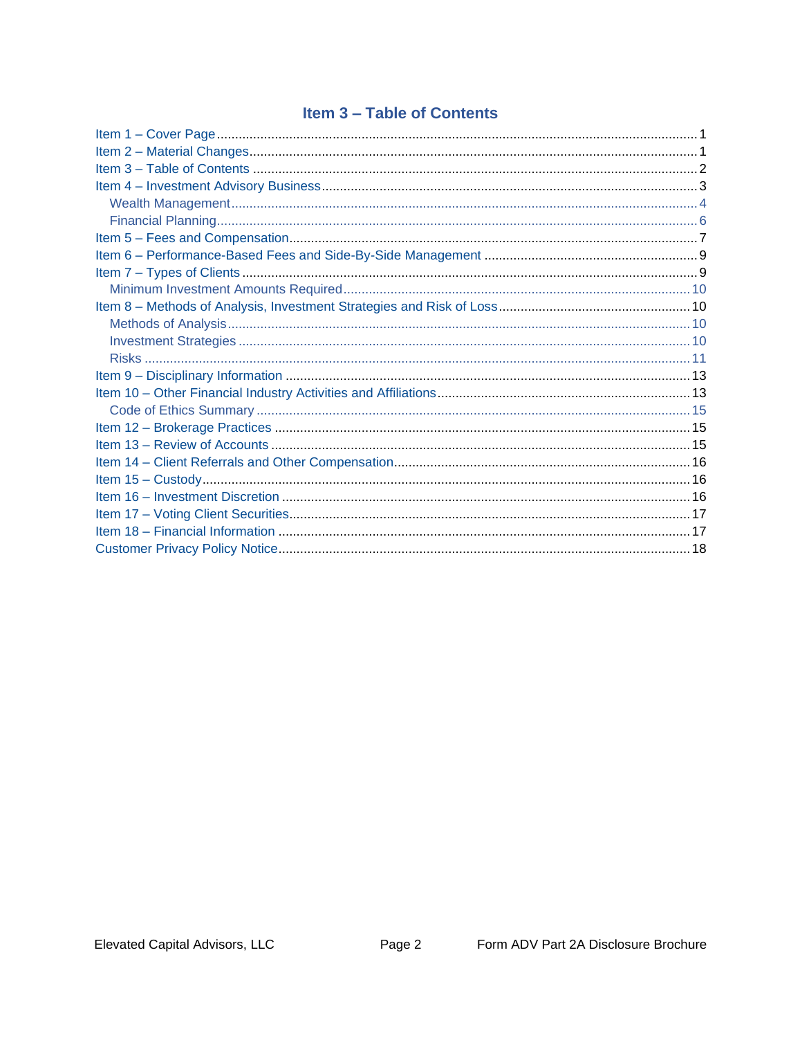# **Item 3 - Table of Contents**

<span id="page-1-0"></span>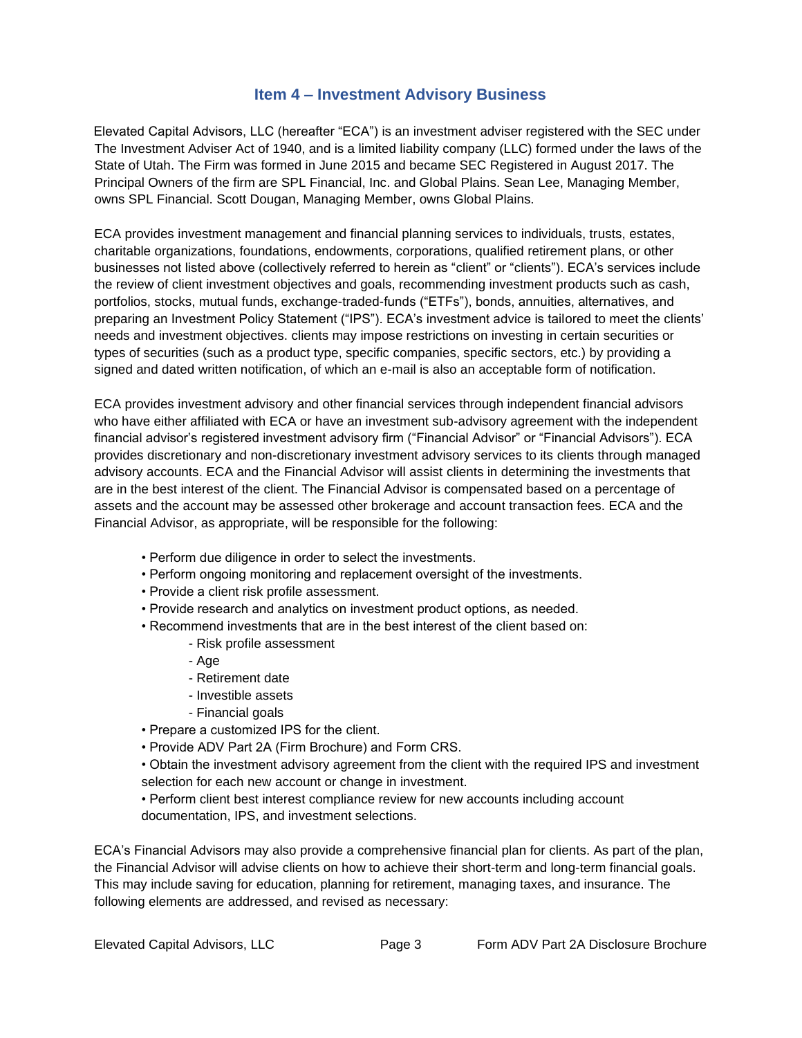### **Item 4 – Investment Advisory Business**

<span id="page-2-0"></span>Elevated Capital Advisors, LLC (hereafter "ECA") is an investment adviser registered with the SEC under The Investment Adviser Act of 1940, and is a limited liability company (LLC) formed under the laws of the State of Utah. The Firm was formed in June 2015 and became SEC Registered in August 2017. The Principal Owners of the firm are SPL Financial, Inc. and Global Plains. Sean Lee, Managing Member, owns SPL Financial. Scott Dougan, Managing Member, owns Global Plains.

ECA provides investment management and financial planning services to individuals, trusts, estates, charitable organizations, foundations, endowments, corporations, qualified retirement plans, or other businesses not listed above (collectively referred to herein as "client" or "clients"). ECA's services include the review of client investment objectives and goals, recommending investment products such as cash, portfolios, stocks, mutual funds, exchange-traded-funds ("ETFs"), bonds, annuities, alternatives, and preparing an Investment Policy Statement ("IPS"). ECA's investment advice is tailored to meet the clients' needs and investment objectives. clients may impose restrictions on investing in certain securities or types of securities (such as a product type, specific companies, specific sectors, etc.) by providing a signed and dated written notification, of which an e-mail is also an acceptable form of notification.

ECA provides investment advisory and other financial services through independent financial advisors who have either affiliated with ECA or have an investment sub-advisory agreement with the independent financial advisor's registered investment advisory firm ("Financial Advisor" or "Financial Advisors"). ECA provides discretionary and non-discretionary investment advisory services to its clients through managed advisory accounts. ECA and the Financial Advisor will assist clients in determining the investments that are in the best interest of the client. The Financial Advisor is compensated based on a percentage of assets and the account may be assessed other brokerage and account transaction fees. ECA and the Financial Advisor, as appropriate, will be responsible for the following:

- Perform due diligence in order to select the investments.
- Perform ongoing monitoring and replacement oversight of the investments.
- Provide a client risk profile assessment.
- Provide research and analytics on investment product options, as needed.
- Recommend investments that are in the best interest of the client based on:
	- Risk profile assessment
	- Age
	- Retirement date
	- Investible assets
	- Financial goals
- Prepare a customized IPS for the client.
- Provide ADV Part 2A (Firm Brochure) and Form CRS.
- Obtain the investment advisory agreement from the client with the required IPS and investment selection for each new account or change in investment.
- Perform client best interest compliance review for new accounts including account documentation, IPS, and investment selections.

ECA's Financial Advisors may also provide a comprehensive financial plan for clients. As part of the plan, the Financial Advisor will advise clients on how to achieve their short-term and long-term financial goals. This may include saving for education, planning for retirement, managing taxes, and insurance. The following elements are addressed, and revised as necessary: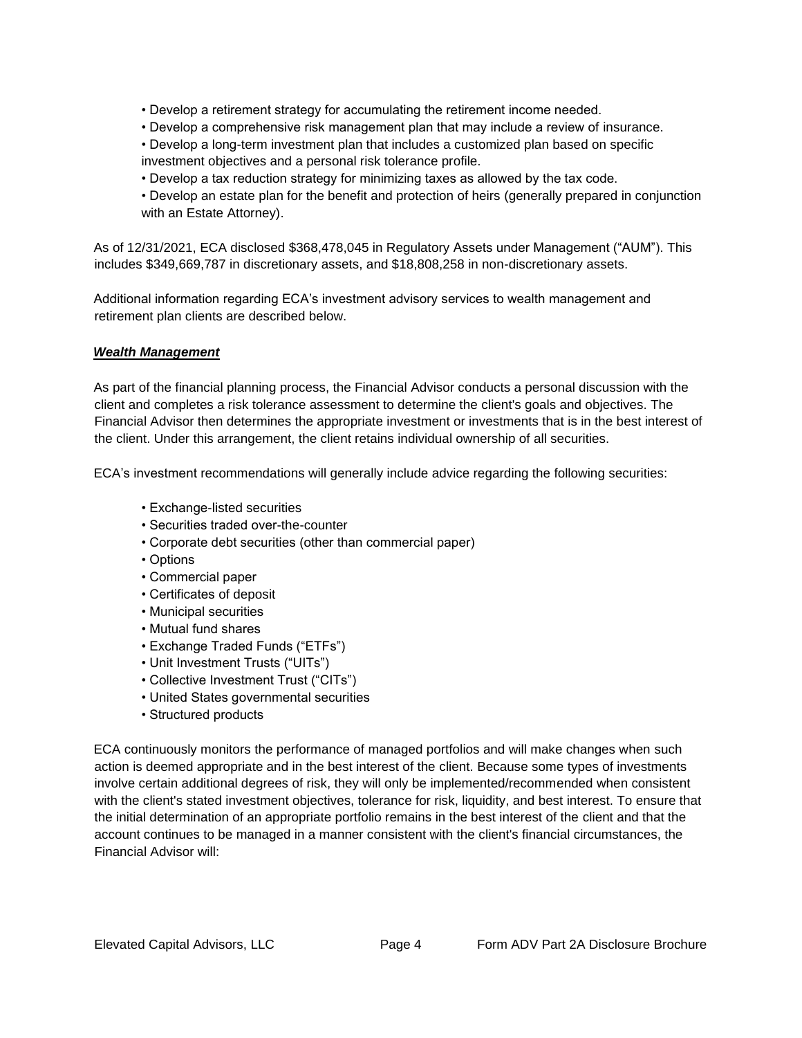- Develop a retirement strategy for accumulating the retirement income needed.
- Develop a comprehensive risk management plan that may include a review of insurance.
- Develop a long-term investment plan that includes a customized plan based on specific investment objectives and a personal risk tolerance profile.
- Develop a tax reduction strategy for minimizing taxes as allowed by the tax code.
- Develop an estate plan for the benefit and protection of heirs (generally prepared in conjunction with an Estate Attorney).

As of 12/31/2021, ECA disclosed \$368,478,045 in Regulatory Assets under Management ("AUM"). This includes \$349,669,787 in discretionary assets, and \$18,808,258 in non-discretionary assets.

Additional information regarding ECA's investment advisory services to wealth management and retirement plan clients are described below.

#### <span id="page-3-0"></span>*Wealth Management*

As part of the financial planning process, the Financial Advisor conducts a personal discussion with the client and completes a risk tolerance assessment to determine the client's goals and objectives. The Financial Advisor then determines the appropriate investment or investments that is in the best interest of the client. Under this arrangement, the client retains individual ownership of all securities.

ECA's investment recommendations will generally include advice regarding the following securities:

- Exchange-listed securities
- Securities traded over-the-counter
- Corporate debt securities (other than commercial paper)
- Options
- Commercial paper
- Certificates of deposit
- Municipal securities
- Mutual fund shares
- Exchange Traded Funds ("ETFs")
- Unit Investment Trusts ("UITs")
- Collective Investment Trust ("CITs")
- United States governmental securities
- Structured products

ECA continuously monitors the performance of managed portfolios and will make changes when such action is deemed appropriate and in the best interest of the client. Because some types of investments involve certain additional degrees of risk, they will only be implemented/recommended when consistent with the client's stated investment objectives, tolerance for risk, liquidity, and best interest. To ensure that the initial determination of an appropriate portfolio remains in the best interest of the client and that the account continues to be managed in a manner consistent with the client's financial circumstances, the Financial Advisor will: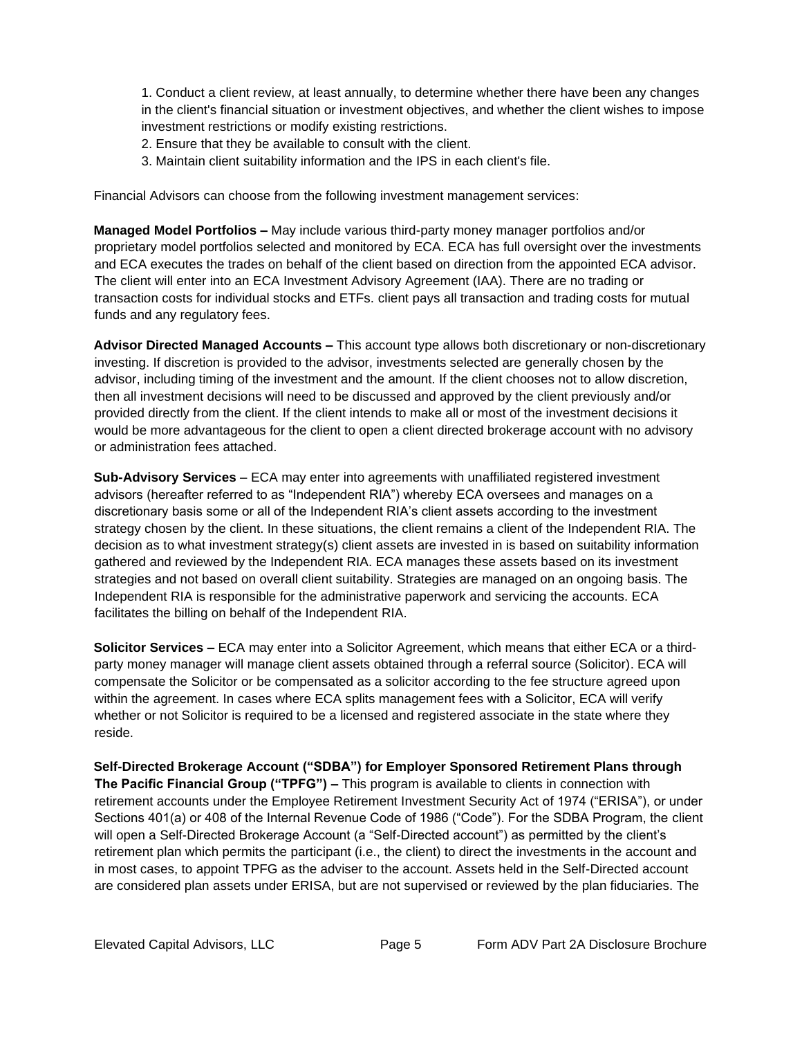1. Conduct a client review, at least annually, to determine whether there have been any changes in the client's financial situation or investment objectives, and whether the client wishes to impose investment restrictions or modify existing restrictions.

- 2. Ensure that they be available to consult with the client.
- 3. Maintain client suitability information and the IPS in each client's file.

Financial Advisors can choose from the following investment management services:

**Managed Model Portfolios –** May include various third-party money manager portfolios and/or proprietary model portfolios selected and monitored by ECA. ECA has full oversight over the investments and ECA executes the trades on behalf of the client based on direction from the appointed ECA advisor. The client will enter into an ECA Investment Advisory Agreement (IAA). There are no trading or transaction costs for individual stocks and ETFs. client pays all transaction and trading costs for mutual funds and any regulatory fees.

**Advisor Directed Managed Accounts –** This account type allows both discretionary or non-discretionary investing. If discretion is provided to the advisor, investments selected are generally chosen by the advisor, including timing of the investment and the amount. If the client chooses not to allow discretion, then all investment decisions will need to be discussed and approved by the client previously and/or provided directly from the client. If the client intends to make all or most of the investment decisions it would be more advantageous for the client to open a client directed brokerage account with no advisory or administration fees attached.

**Sub-Advisory Services** – ECA may enter into agreements with unaffiliated registered investment advisors (hereafter referred to as "Independent RIA") whereby ECA oversees and manages on a discretionary basis some or all of the Independent RIA's client assets according to the investment strategy chosen by the client. In these situations, the client remains a client of the Independent RIA. The decision as to what investment strategy(s) client assets are invested in is based on suitability information gathered and reviewed by the Independent RIA. ECA manages these assets based on its investment strategies and not based on overall client suitability. Strategies are managed on an ongoing basis. The Independent RIA is responsible for the administrative paperwork and servicing the accounts. ECA facilitates the billing on behalf of the Independent RIA.

**Solicitor Services –** ECA may enter into a Solicitor Agreement, which means that either ECA or a thirdparty money manager will manage client assets obtained through a referral source (Solicitor). ECA will compensate the Solicitor or be compensated as a solicitor according to the fee structure agreed upon within the agreement. In cases where ECA splits management fees with a Solicitor, ECA will verify whether or not Solicitor is required to be a licensed and registered associate in the state where they reside.

**Self-Directed Brokerage Account ("SDBA") for Employer Sponsored Retirement Plans through The Pacific Financial Group ("TPFG") –** This program is available to clients in connection with retirement accounts under the Employee Retirement Investment Security Act of 1974 ("ERISA"), or under Sections 401(a) or 408 of the Internal Revenue Code of 1986 ("Code"). For the SDBA Program, the client will open a Self-Directed Brokerage Account (a "Self-Directed account") as permitted by the client's retirement plan which permits the participant (i.e., the client) to direct the investments in the account and in most cases, to appoint TPFG as the adviser to the account. Assets held in the Self-Directed account are considered plan assets under ERISA, but are not supervised or reviewed by the plan fiduciaries. The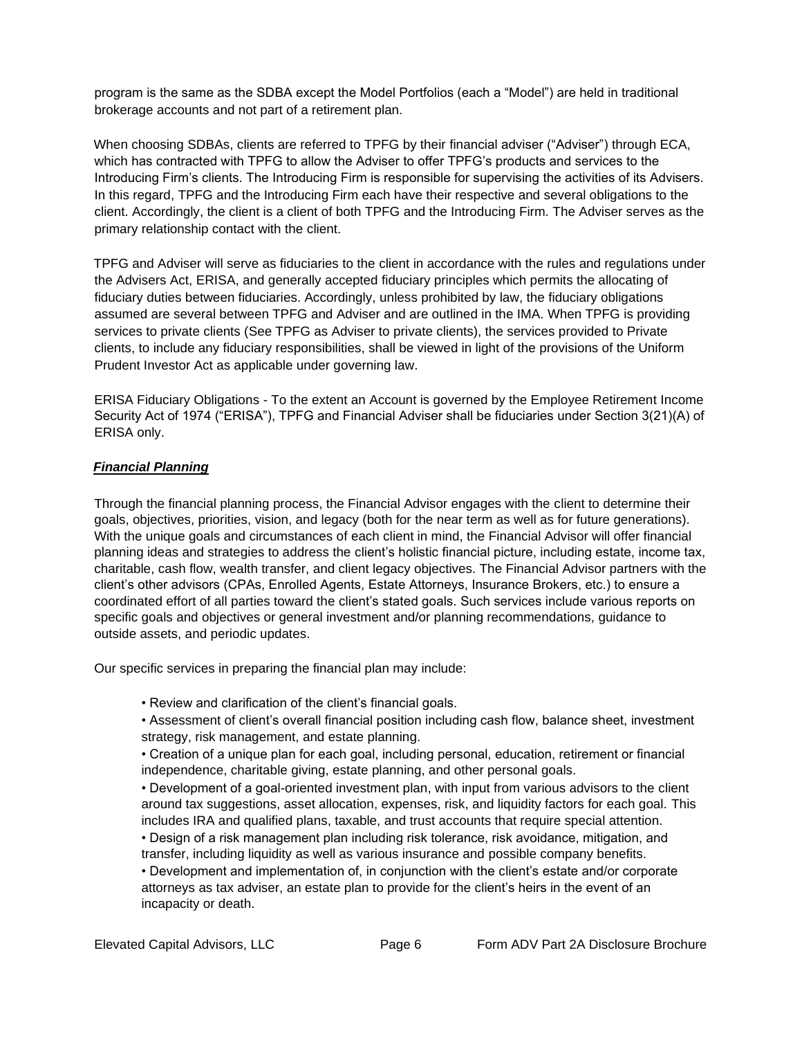program is the same as the SDBA except the Model Portfolios (each a "Model") are held in traditional brokerage accounts and not part of a retirement plan.

When choosing SDBAs, clients are referred to TPFG by their financial adviser ("Adviser") through ECA, which has contracted with TPFG to allow the Adviser to offer TPFG's products and services to the Introducing Firm's clients. The Introducing Firm is responsible for supervising the activities of its Advisers. In this regard, TPFG and the Introducing Firm each have their respective and several obligations to the client. Accordingly, the client is a client of both TPFG and the Introducing Firm. The Adviser serves as the primary relationship contact with the client.

TPFG and Adviser will serve as fiduciaries to the client in accordance with the rules and regulations under the Advisers Act, ERISA, and generally accepted fiduciary principles which permits the allocating of fiduciary duties between fiduciaries. Accordingly, unless prohibited by law, the fiduciary obligations assumed are several between TPFG and Adviser and are outlined in the IMA. When TPFG is providing services to private clients (See TPFG as Adviser to private clients), the services provided to Private clients, to include any fiduciary responsibilities, shall be viewed in light of the provisions of the Uniform Prudent Investor Act as applicable under governing law.

ERISA Fiduciary Obligations - To the extent an Account is governed by the Employee Retirement Income Security Act of 1974 ("ERISA"), TPFG and Financial Adviser shall be fiduciaries under Section 3(21)(A) of ERISA only.

#### <span id="page-5-0"></span>*Financial Planning*

Through the financial planning process, the Financial Advisor engages with the client to determine their goals, objectives, priorities, vision, and legacy (both for the near term as well as for future generations). With the unique goals and circumstances of each client in mind, the Financial Advisor will offer financial planning ideas and strategies to address the client's holistic financial picture, including estate, income tax, charitable, cash flow, wealth transfer, and client legacy objectives. The Financial Advisor partners with the client's other advisors (CPAs, Enrolled Agents, Estate Attorneys, Insurance Brokers, etc.) to ensure a coordinated effort of all parties toward the client's stated goals. Such services include various reports on specific goals and objectives or general investment and/or planning recommendations, guidance to outside assets, and periodic updates.

Our specific services in preparing the financial plan may include:

• Review and clarification of the client's financial goals.

• Assessment of client's overall financial position including cash flow, balance sheet, investment strategy, risk management, and estate planning.

• Creation of a unique plan for each goal, including personal, education, retirement or financial independence, charitable giving, estate planning, and other personal goals.

• Development of a goal-oriented investment plan, with input from various advisors to the client around tax suggestions, asset allocation, expenses, risk, and liquidity factors for each goal. This includes IRA and qualified plans, taxable, and trust accounts that require special attention.

• Design of a risk management plan including risk tolerance, risk avoidance, mitigation, and transfer, including liquidity as well as various insurance and possible company benefits.

• Development and implementation of, in conjunction with the client's estate and/or corporate attorneys as tax adviser, an estate plan to provide for the client's heirs in the event of an incapacity or death.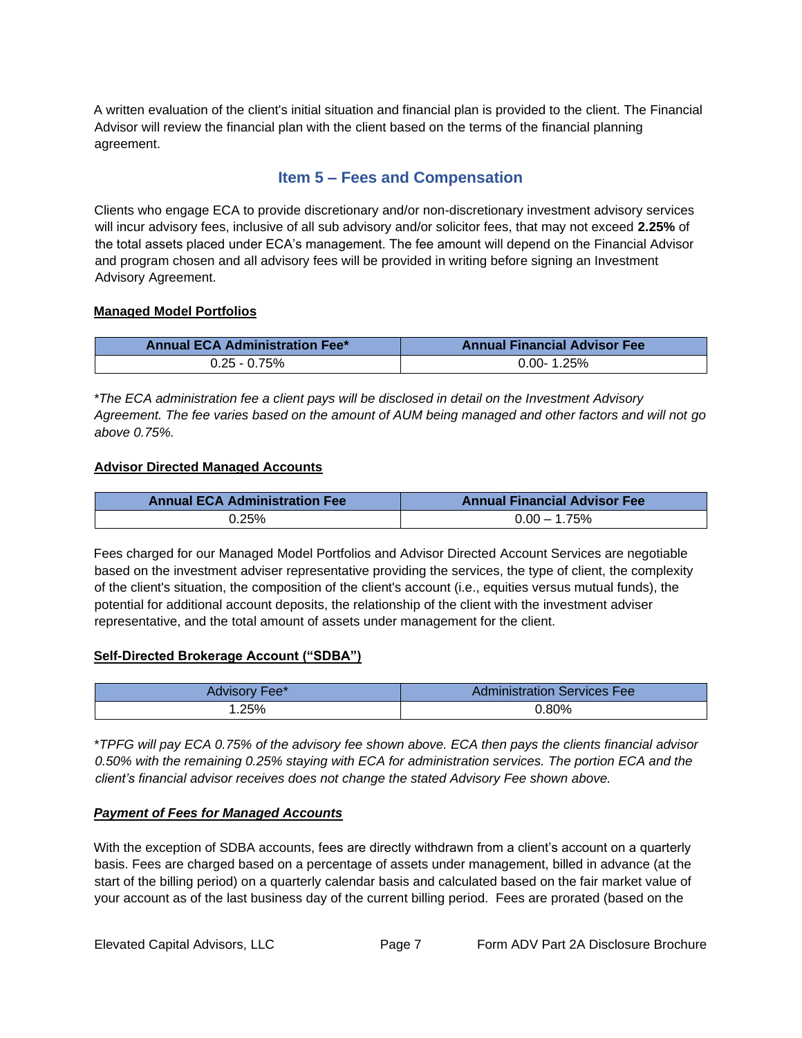A written evaluation of the client's initial situation and financial plan is provided to the client. The Financial Advisor will review the financial plan with the client based on the terms of the financial planning agreement.

# **Item 5 – Fees and Compensation**

<span id="page-6-0"></span>Clients who engage ECA to provide discretionary and/or non-discretionary investment advisory services will incur advisory fees, inclusive of all sub advisory and/or solicitor fees, that may not exceed **2.25%** of the total assets placed under ECA's management. The fee amount will depend on the Financial Advisor and program chosen and all advisory fees will be provided in writing before signing an Investment Advisory Agreement.

#### **Managed Model Portfolios**

| <b>Annual ECA Administration Fee*</b> | <b>Annual Financial Advisor Fee</b> |
|---------------------------------------|-------------------------------------|
| $0.25 - 0.75\%$                       | $0.00 - 1.25%$                      |

*\*The ECA administration fee a client pays will be disclosed in detail on the Investment Advisory Agreement. The fee varies based on the amount of AUM being managed and other factors and will not go above 0.75%.*

#### **Advisor Directed Managed Accounts**

| <b>Annual ECA Administration Fee</b> | <b>Annual Financial Advisor Fee</b> |
|--------------------------------------|-------------------------------------|
| 25%،                                 | 1.75%<br>$0.00 -$                   |

Fees charged for our Managed Model Portfolios and Advisor Directed Account Services are negotiable based on the investment adviser representative providing the services, the type of client, the complexity of the client's situation, the composition of the client's account (i.e., equities versus mutual funds), the potential for additional account deposits, the relationship of the client with the investment adviser representative, and the total amount of assets under management for the client.

#### **Self-Directed Brokerage Account ("SDBA")**

| Fee*<br>Advisory | <b>Administration Services Fee</b> |
|------------------|------------------------------------|
| .25%             | $0.80\%$                           |

\**TPFG will pay ECA 0.75% of the advisory fee shown above. ECA then pays the clients financial advisor 0.50% with the remaining 0.25% staying with ECA for administration services. The portion ECA and the client's financial advisor receives does not change the stated Advisory Fee shown above.*

#### *Payment of Fees for Managed Accounts*

With the exception of SDBA accounts, fees are directly withdrawn from a client's account on a quarterly basis. Fees are charged based on a percentage of assets under management, billed in advance (at the start of the billing period) on a quarterly calendar basis and calculated based on the fair market value of your account as of the last business day of the current billing period. Fees are prorated (based on the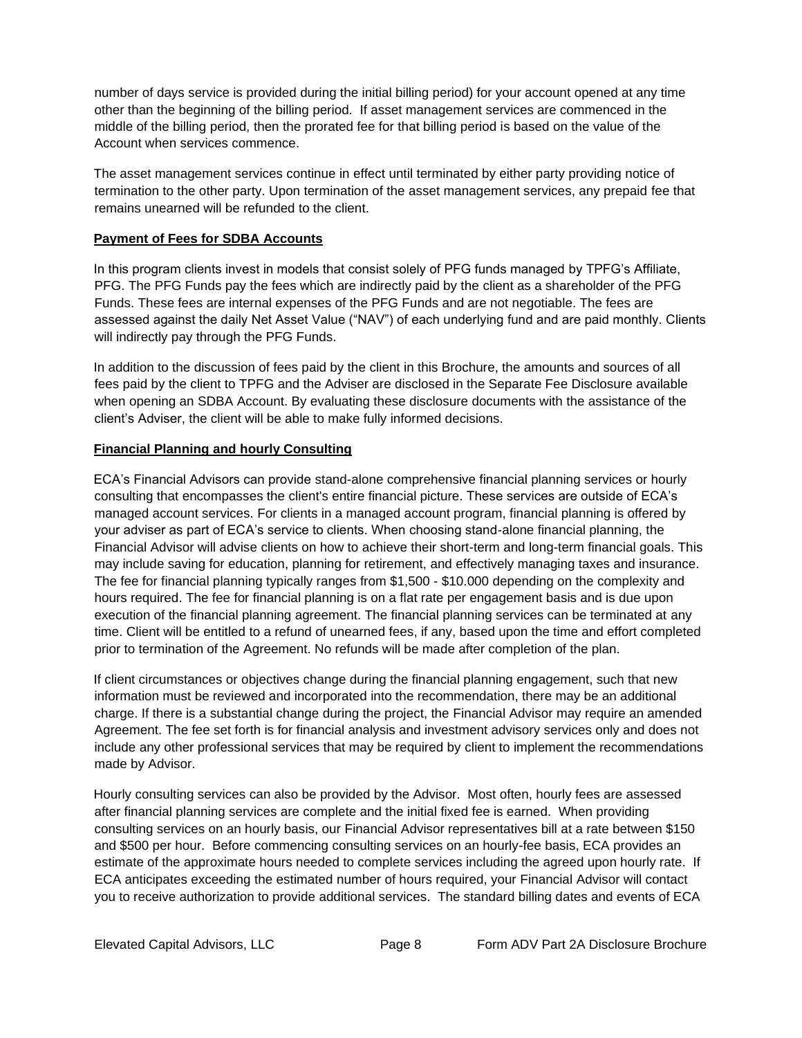number of days service is provided during the initial billing period) for your account opened at any time other than the beginning of the billing period. If asset management services are commenced in the middle of the billing period, then the prorated fee for that billing period is based on the value of the Account when services commence.

The asset management services continue in effect until terminated by either party providing notice of termination to the other party. Upon termination of the asset management services, any prepaid fee that remains unearned will be refunded to the client.

#### **Payment of Fees for SDBA Accounts**

In this program clients invest in models that consist solely of PFG funds managed by TPFG's Affiliate, PFG. The PFG Funds pay the fees which are indirectly paid by the client as a shareholder of the PFG Funds. These fees are internal expenses of the PFG Funds and are not negotiable. The fees are assessed against the daily Net Asset Value ("NAV") of each underlying fund and are paid monthly. Clients will indirectly pay through the PFG Funds.

In addition to the discussion of fees paid by the client in this Brochure, the amounts and sources of all fees paid by the client to TPFG and the Adviser are disclosed in the Separate Fee Disclosure available when opening an SDBA Account. By evaluating these disclosure documents with the assistance of the client's Adviser, the client will be able to make fully informed decisions.

#### **Financial Planning and hourly Consulting**

ECA's Financial Advisors can provide stand-alone comprehensive financial planning services or hourly consulting that encompasses the client's entire financial picture. These services are outside of ECA's managed account services. For clients in a managed account program, financial planning is offered by your adviser as part of ECA's service to clients. When choosing stand-alone financial planning, the Financial Advisor will advise clients on how to achieve their short-term and long-term financial goals. This may include saving for education, planning for retirement, and effectively managing taxes and insurance. The fee for financial planning typically ranges from \$1,500 - \$10.000 depending on the complexity and hours required. The fee for financial planning is on a flat rate per engagement basis and is due upon execution of the financial planning agreement. The financial planning services can be terminated at any time. Client will be entitled to a refund of unearned fees, if any, based upon the time and effort completed prior to termination of the Agreement. No refunds will be made after completion of the plan.

If client circumstances or objectives change during the financial planning engagement, such that new information must be reviewed and incorporated into the recommendation, there may be an additional charge. If there is a substantial change during the project, the Financial Advisor may require an amended Agreement. The fee set forth is for financial analysis and investment advisory services only and does not include any other professional services that may be required by client to implement the recommendations made by Advisor.

Hourly consulting services can also be provided by the Advisor. Most often, hourly fees are assessed after financial planning services are complete and the initial fixed fee is earned. When providing consulting services on an hourly basis, our Financial Advisor representatives bill at a rate between \$150 and \$500 per hour. Before commencing consulting services on an hourly-fee basis, ECA provides an estimate of the approximate hours needed to complete services including the agreed upon hourly rate. If ECA anticipates exceeding the estimated number of hours required, your Financial Advisor will contact you to receive authorization to provide additional services. The standard billing dates and events of ECA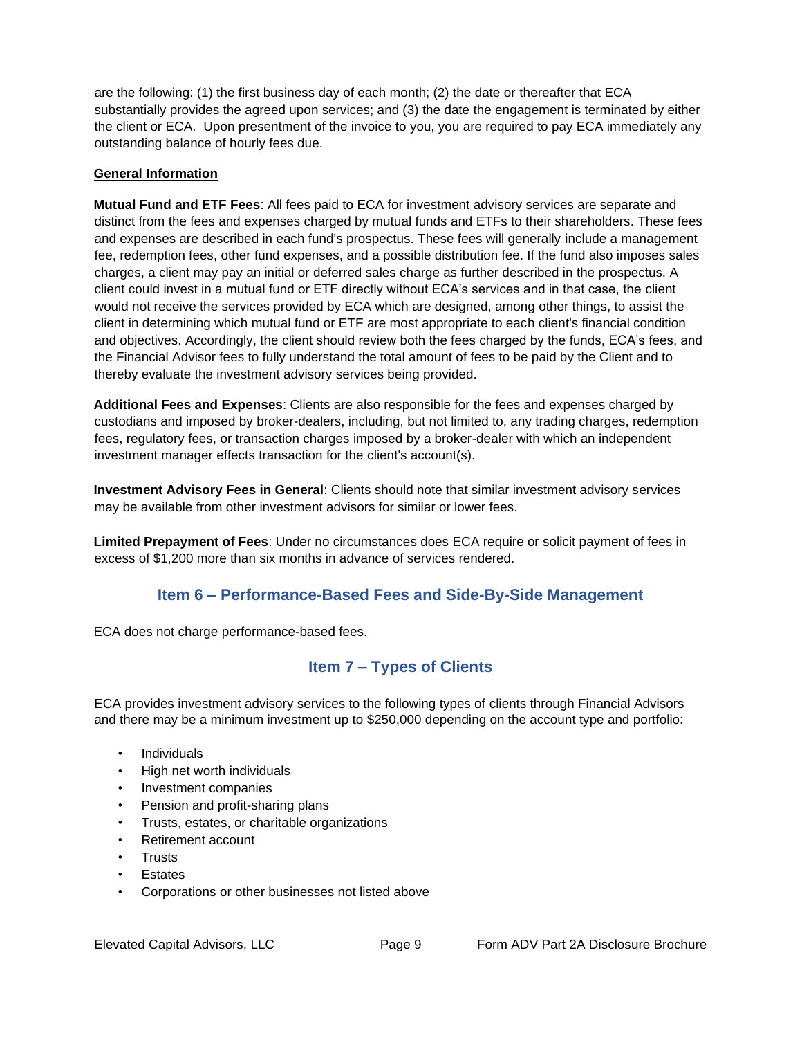are the following: (1) the first business day of each month; (2) the date or thereafter that ECA substantially provides the agreed upon services; and (3) the date the engagement is terminated by either the client or ECA. Upon presentment of the invoice to you, you are required to pay ECA immediately any outstanding balance of hourly fees due.

#### **General Information**

**Mutual Fund and ETF Fees**: All fees paid to ECA for investment advisory services are separate and distinct from the fees and expenses charged by mutual funds and ETFs to their shareholders. These fees and expenses are described in each fund's prospectus. These fees will generally include a management fee, redemption fees, other fund expenses, and a possible distribution fee. If the fund also imposes sales charges, a client may pay an initial or deferred sales charge as further described in the prospectus. A client could invest in a mutual fund or ETF directly without ECA's services and in that case, the client would not receive the services provided by ECA which are designed, among other things, to assist the client in determining which mutual fund or ETF are most appropriate to each client's financial condition and objectives. Accordingly, the client should review both the fees charged by the funds, ECA's fees, and the Financial Advisor fees to fully understand the total amount of fees to be paid by the Client and to thereby evaluate the investment advisory services being provided.

**Additional Fees and Expenses**: Clients are also responsible for the fees and expenses charged by custodians and imposed by broker-dealers, including, but not limited to, any trading charges, redemption fees, regulatory fees, or transaction charges imposed by a broker-dealer with which an independent investment manager effects transaction for the client's account(s).

**Investment Advisory Fees in General**: Clients should note that similar investment advisory services may be available from other investment advisors for similar or lower fees.

**Limited Prepayment of Fees**: Under no circumstances does ECA require or solicit payment of fees in excess of \$1,200 more than six months in advance of services rendered.

# **Item 6 – Performance-Based Fees and Side-By-Side Management**

<span id="page-8-1"></span><span id="page-8-0"></span>ECA does not charge performance-based fees.

# **Item 7 – Types of Clients**

ECA provides investment advisory services to the following types of clients through Financial Advisors and there may be a minimum investment up to \$250,000 depending on the account type and portfolio:

- Individuals
- High net worth individuals
- Investment companies
- Pension and profit-sharing plans
- Trusts, estates, or charitable organizations
- Retirement account
- **Trusts**
- **Estates**
- Corporations or other businesses not listed above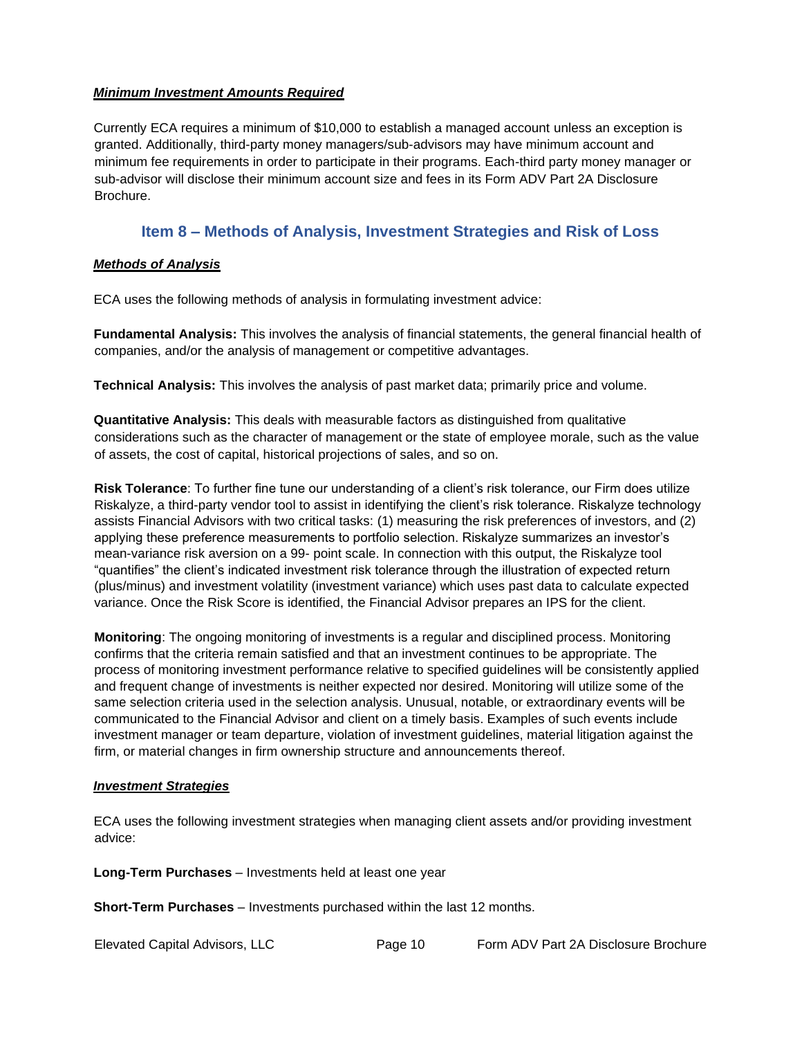#### <span id="page-9-0"></span>*Minimum Investment Amounts Required*

Currently ECA requires a minimum of \$10,000 to establish a managed account unless an exception is granted. Additionally, third-party money managers/sub-advisors may have minimum account and minimum fee requirements in order to participate in their programs. Each-third party money manager or sub-advisor will disclose their minimum account size and fees in its Form ADV Part 2A Disclosure Brochure.

### **Item 8 – Methods of Analysis, Investment Strategies and Risk of Loss**

#### <span id="page-9-2"></span><span id="page-9-1"></span>*Methods of Analysis*

ECA uses the following methods of analysis in formulating investment advice:

**Fundamental Analysis:** This involves the analysis of financial statements, the general financial health of companies, and/or the analysis of management or competitive advantages.

**Technical Analysis:** This involves the analysis of past market data; primarily price and volume.

**Quantitative Analysis:** This deals with measurable factors as distinguished from qualitative considerations such as the character of management or the state of employee morale, such as the value of assets, the cost of capital, historical projections of sales, and so on.

**Risk Tolerance**: To further fine tune our understanding of a client's risk tolerance, our Firm does utilize Riskalyze, a third-party vendor tool to assist in identifying the client's risk tolerance. Riskalyze technology assists Financial Advisors with two critical tasks: (1) measuring the risk preferences of investors, and (2) applying these preference measurements to portfolio selection. Riskalyze summarizes an investor's mean-variance risk aversion on a 99- point scale. In connection with this output, the Riskalyze tool "quantifies" the client's indicated investment risk tolerance through the illustration of expected return (plus/minus) and investment volatility (investment variance) which uses past data to calculate expected variance. Once the Risk Score is identified, the Financial Advisor prepares an IPS for the client.

**Monitoring**: The ongoing monitoring of investments is a regular and disciplined process. Monitoring confirms that the criteria remain satisfied and that an investment continues to be appropriate. The process of monitoring investment performance relative to specified guidelines will be consistently applied and frequent change of investments is neither expected nor desired. Monitoring will utilize some of the same selection criteria used in the selection analysis. Unusual, notable, or extraordinary events will be communicated to the Financial Advisor and client on a timely basis. Examples of such events include investment manager or team departure, violation of investment guidelines, material litigation against the firm, or material changes in firm ownership structure and announcements thereof.

#### <span id="page-9-3"></span>*Investment Strategies*

ECA uses the following investment strategies when managing client assets and/or providing investment advice:

**Long-Term Purchases** – Investments held at least one year

**Short-Term Purchases** – Investments purchased within the last 12 months.

Elevated Capital Advisors, LLC Page 10 Form ADV Part 2A Disclosure Brochure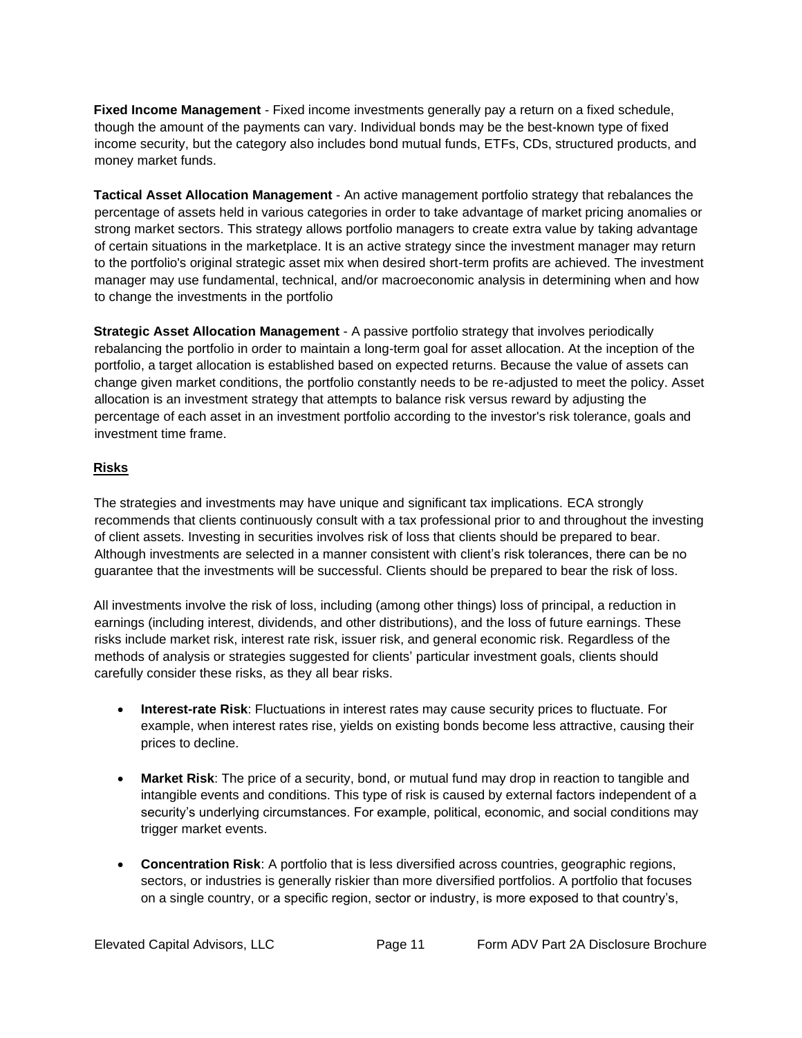**Fixed Income Management** - Fixed income investments generally pay a return on a fixed schedule, though the amount of the payments can vary. Individual bonds may be the best-known type of fixed income security, but the category also includes bond mutual funds, ETFs, CDs, structured products, and money market funds.

**Tactical Asset Allocation Management** - An active management portfolio strategy that rebalances the percentage of assets held in various categories in order to take advantage of market pricing anomalies or strong market sectors. This strategy allows portfolio managers to create extra value by taking advantage of certain situations in the marketplace. It is an active strategy since the investment manager may return to the portfolio's original strategic asset mix when desired short-term profits are achieved. The investment manager may use fundamental, technical, and/or macroeconomic analysis in determining when and how to change the investments in the portfolio

**Strategic Asset Allocation Management** - A passive portfolio strategy that involves periodically rebalancing the portfolio in order to maintain a long-term goal for asset allocation. At the inception of the portfolio, a target allocation is established based on expected returns. Because the value of assets can change given market conditions, the portfolio constantly needs to be re-adjusted to meet the policy. Asset allocation is an investment strategy that attempts to balance risk versus reward by adjusting the percentage of each asset in an investment portfolio according to the investor's risk tolerance, goals and investment time frame.

#### <span id="page-10-0"></span>**Risks**

The strategies and investments may have unique and significant tax implications. ECA strongly recommends that clients continuously consult with a tax professional prior to and throughout the investing of client assets. Investing in securities involves risk of loss that clients should be prepared to bear. Although investments are selected in a manner consistent with client's risk tolerances, there can be no guarantee that the investments will be successful. Clients should be prepared to bear the risk of loss.

All investments involve the risk of loss, including (among other things) loss of principal, a reduction in earnings (including interest, dividends, and other distributions), and the loss of future earnings. These risks include market risk, interest rate risk, issuer risk, and general economic risk. Regardless of the methods of analysis or strategies suggested for clients' particular investment goals, clients should carefully consider these risks, as they all bear risks.

- **Interest-rate Risk**: Fluctuations in interest rates may cause security prices to fluctuate. For example, when interest rates rise, yields on existing bonds become less attractive, causing their prices to decline.
- **Market Risk**: The price of a security, bond, or mutual fund may drop in reaction to tangible and intangible events and conditions. This type of risk is caused by external factors independent of a security's underlying circumstances. For example, political, economic, and social conditions may trigger market events.
- **Concentration Risk**: A portfolio that is less diversified across countries, geographic regions, sectors, or industries is generally riskier than more diversified portfolios. A portfolio that focuses on a single country, or a specific region, sector or industry, is more exposed to that country's,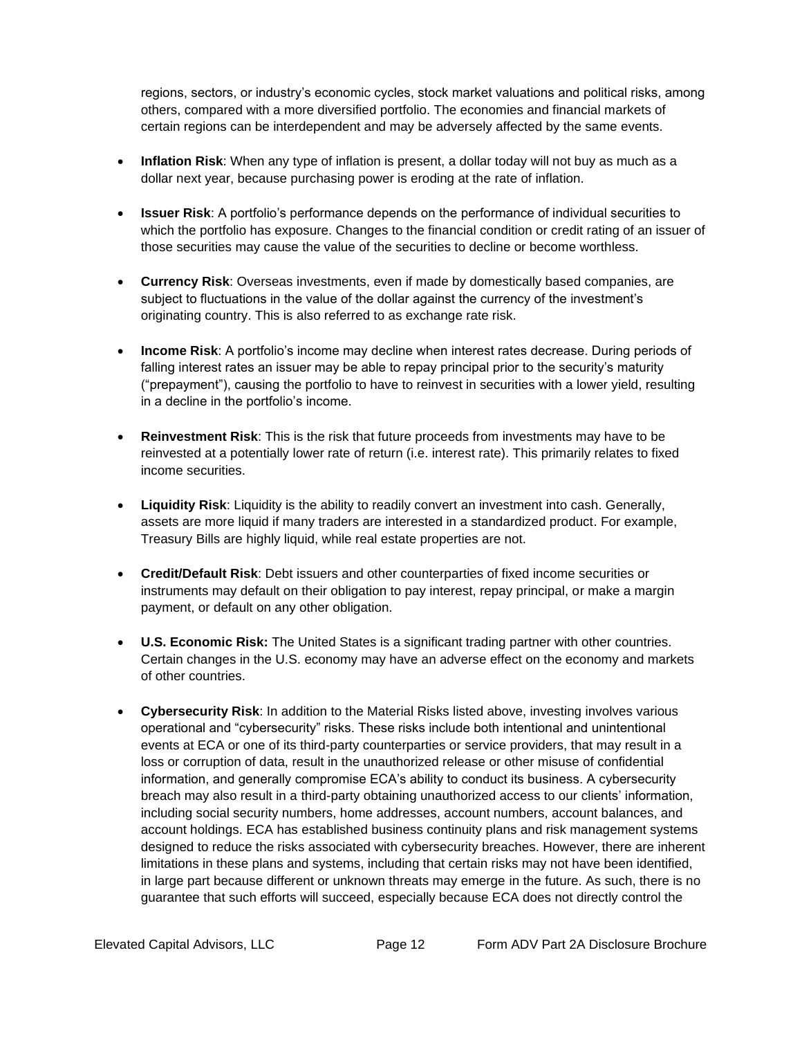regions, sectors, or industry's economic cycles, stock market valuations and political risks, among others, compared with a more diversified portfolio. The economies and financial markets of certain regions can be interdependent and may be adversely affected by the same events.

- **Inflation Risk**: When any type of inflation is present, a dollar today will not buy as much as a dollar next year, because purchasing power is eroding at the rate of inflation.
- **Issuer Risk**: A portfolio's performance depends on the performance of individual securities to which the portfolio has exposure. Changes to the financial condition or credit rating of an issuer of those securities may cause the value of the securities to decline or become worthless.
- **Currency Risk**: Overseas investments, even if made by domestically based companies, are subject to fluctuations in the value of the dollar against the currency of the investment's originating country. This is also referred to as exchange rate risk.
- **Income Risk**: A portfolio's income may decline when interest rates decrease. During periods of falling interest rates an issuer may be able to repay principal prior to the security's maturity ("prepayment"), causing the portfolio to have to reinvest in securities with a lower yield, resulting in a decline in the portfolio's income.
- **Reinvestment Risk**: This is the risk that future proceeds from investments may have to be reinvested at a potentially lower rate of return (i.e. interest rate). This primarily relates to fixed income securities.
- **Liquidity Risk**: Liquidity is the ability to readily convert an investment into cash. Generally, assets are more liquid if many traders are interested in a standardized product. For example, Treasury Bills are highly liquid, while real estate properties are not.
- **Credit/Default Risk**: Debt issuers and other counterparties of fixed income securities or instruments may default on their obligation to pay interest, repay principal, or make a margin payment, or default on any other obligation.
- **U.S. Economic Risk:** The United States is a significant trading partner with other countries. Certain changes in the U.S. economy may have an adverse effect on the economy and markets of other countries.
- **Cybersecurity Risk**: In addition to the Material Risks listed above, investing involves various operational and "cybersecurity" risks. These risks include both intentional and unintentional events at ECA or one of its third-party counterparties or service providers, that may result in a loss or corruption of data, result in the unauthorized release or other misuse of confidential information, and generally compromise ECA's ability to conduct its business. A cybersecurity breach may also result in a third-party obtaining unauthorized access to our clients' information, including social security numbers, home addresses, account numbers, account balances, and account holdings. ECA has established business continuity plans and risk management systems designed to reduce the risks associated with cybersecurity breaches. However, there are inherent limitations in these plans and systems, including that certain risks may not have been identified, in large part because different or unknown threats may emerge in the future. As such, there is no guarantee that such efforts will succeed, especially because ECA does not directly control the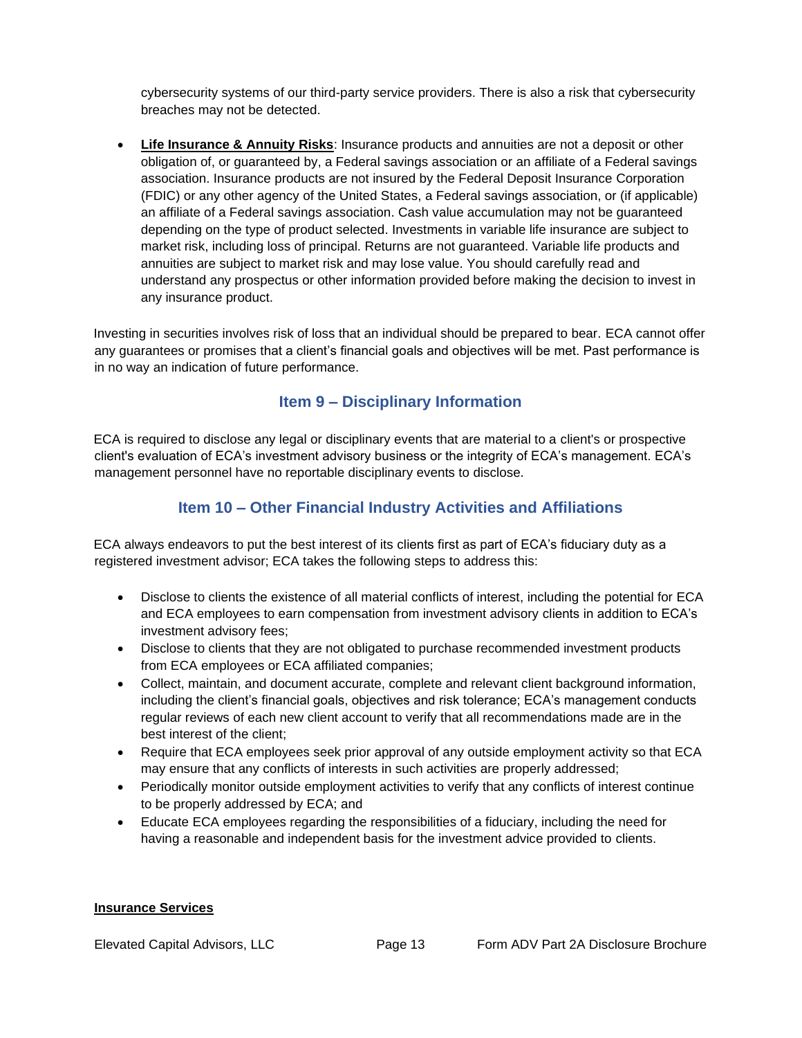cybersecurity systems of our third-party service providers. There is also a risk that cybersecurity breaches may not be detected.

**Life Insurance & Annuity Risks:** Insurance products and annuities are not a deposit or other obligation of, or guaranteed by, a Federal savings association or an affiliate of a Federal savings association. Insurance products are not insured by the Federal Deposit Insurance Corporation (FDIC) or any other agency of the United States, a Federal savings association, or (if applicable) an affiliate of a Federal savings association. Cash value accumulation may not be guaranteed depending on the type of product selected. Investments in variable life insurance are subject to market risk, including loss of principal. Returns are not guaranteed. Variable life products and annuities are subject to market risk and may lose value. You should carefully read and understand any prospectus or other information provided before making the decision to invest in any insurance product.

Investing in securities involves risk of loss that an individual should be prepared to bear. ECA cannot offer any guarantees or promises that a client's financial goals and objectives will be met. Past performance is in no way an indication of future performance.

# **Item 9 – Disciplinary Information**

<span id="page-12-0"></span>ECA is required to disclose any legal or disciplinary events that are material to a client's or prospective client's evaluation of ECA's investment advisory business or the integrity of ECA's management. ECA's management personnel have no reportable disciplinary events to disclose.

# **Item 10 – Other Financial Industry Activities and Affiliations**

<span id="page-12-1"></span>ECA always endeavors to put the best interest of its clients first as part of ECA's fiduciary duty as a registered investment advisor; ECA takes the following steps to address this:

- Disclose to clients the existence of all material conflicts of interest, including the potential for ECA and ECA employees to earn compensation from investment advisory clients in addition to ECA's investment advisory fees;
- Disclose to clients that they are not obligated to purchase recommended investment products from ECA employees or ECA affiliated companies;
- Collect, maintain, and document accurate, complete and relevant client background information, including the client's financial goals, objectives and risk tolerance; ECA's management conducts regular reviews of each new client account to verify that all recommendations made are in the best interest of the client;
- Require that ECA employees seek prior approval of any outside employment activity so that ECA may ensure that any conflicts of interests in such activities are properly addressed;
- Periodically monitor outside employment activities to verify that any conflicts of interest continue to be properly addressed by ECA; and
- Educate ECA employees regarding the responsibilities of a fiduciary, including the need for having a reasonable and independent basis for the investment advice provided to clients.

#### **Insurance Services**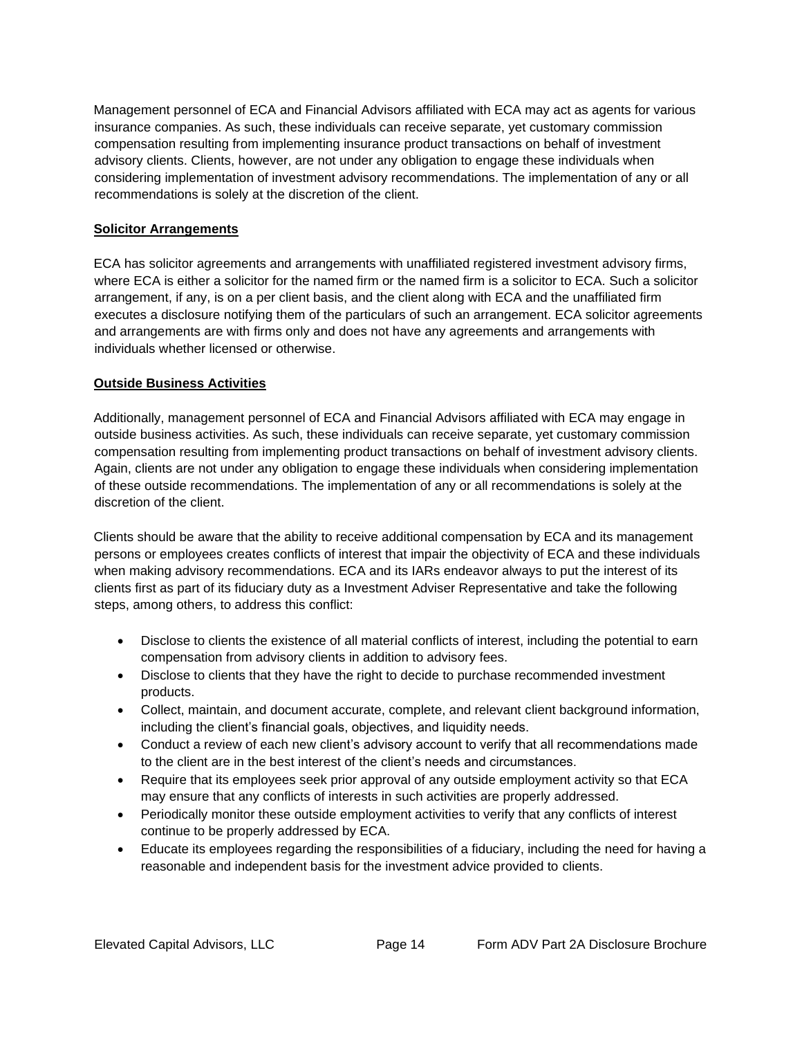Management personnel of ECA and Financial Advisors affiliated with ECA may act as agents for various insurance companies. As such, these individuals can receive separate, yet customary commission compensation resulting from implementing insurance product transactions on behalf of investment advisory clients. Clients, however, are not under any obligation to engage these individuals when considering implementation of investment advisory recommendations. The implementation of any or all recommendations is solely at the discretion of the client.

#### **Solicitor Arrangements**

ECA has solicitor agreements and arrangements with unaffiliated registered investment advisory firms, where ECA is either a solicitor for the named firm or the named firm is a solicitor to ECA. Such a solicitor arrangement, if any, is on a per client basis, and the client along with ECA and the unaffiliated firm executes a disclosure notifying them of the particulars of such an arrangement. ECA solicitor agreements and arrangements are with firms only and does not have any agreements and arrangements with individuals whether licensed or otherwise.

#### **Outside Business Activities**

Additionally, management personnel of ECA and Financial Advisors affiliated with ECA may engage in outside business activities. As such, these individuals can receive separate, yet customary commission compensation resulting from implementing product transactions on behalf of investment advisory clients. Again, clients are not under any obligation to engage these individuals when considering implementation of these outside recommendations. The implementation of any or all recommendations is solely at the discretion of the client.

Clients should be aware that the ability to receive additional compensation by ECA and its management persons or employees creates conflicts of interest that impair the objectivity of ECA and these individuals when making advisory recommendations. ECA and its IARs endeavor always to put the interest of its clients first as part of its fiduciary duty as a Investment Adviser Representative and take the following steps, among others, to address this conflict:

- Disclose to clients the existence of all material conflicts of interest, including the potential to earn compensation from advisory clients in addition to advisory fees.
- Disclose to clients that they have the right to decide to purchase recommended investment products.
- Collect, maintain, and document accurate, complete, and relevant client background information, including the client's financial goals, objectives, and liquidity needs.
- Conduct a review of each new client's advisory account to verify that all recommendations made to the client are in the best interest of the client's needs and circumstances.
- Require that its employees seek prior approval of any outside employment activity so that ECA may ensure that any conflicts of interests in such activities are properly addressed.
- Periodically monitor these outside employment activities to verify that any conflicts of interest continue to be properly addressed by ECA.
- Educate its employees regarding the responsibilities of a fiduciary, including the need for having a reasonable and independent basis for the investment advice provided to clients.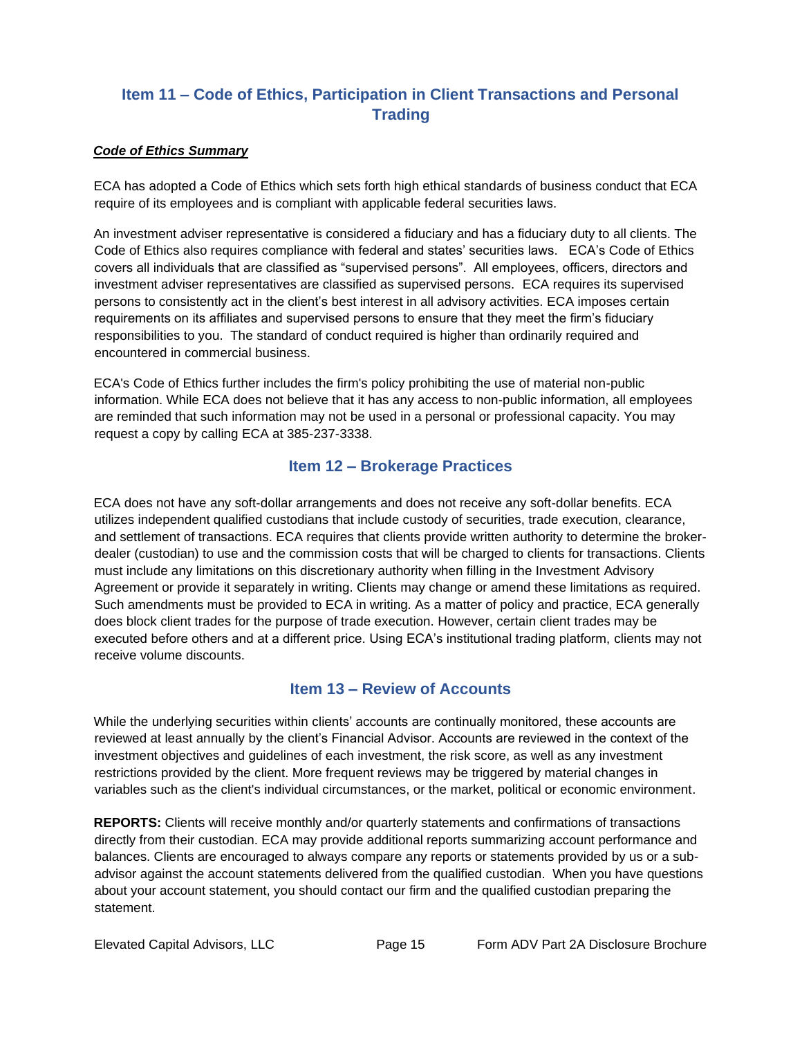# **Item 11 – Code of Ethics, Participation in Client Transactions and Personal Trading**

#### <span id="page-14-0"></span>*Code of Ethics Summary*

ECA has adopted a Code of Ethics which sets forth high ethical standards of business conduct that ECA require of its employees and is compliant with applicable federal securities laws.

An investment adviser representative is considered a fiduciary and has a fiduciary duty to all clients. The Code of Ethics also requires compliance with federal and states' securities laws. ECA's Code of Ethics covers all individuals that are classified as "supervised persons". All employees, officers, directors and investment adviser representatives are classified as supervised persons. ECA requires its supervised persons to consistently act in the client's best interest in all advisory activities. ECA imposes certain requirements on its affiliates and supervised persons to ensure that they meet the firm's fiduciary responsibilities to you. The standard of conduct required is higher than ordinarily required and encountered in commercial business.

ECA's Code of Ethics further includes the firm's policy prohibiting the use of material non-public information. While ECA does not believe that it has any access to non-public information, all employees are reminded that such information may not be used in a personal or professional capacity. You may request a copy by calling ECA at 385-237-3338.

# **Item 12 – Brokerage Practices**

<span id="page-14-1"></span>ECA does not have any soft-dollar arrangements and does not receive any soft-dollar benefits. ECA utilizes independent qualified custodians that include custody of securities, trade execution, clearance, and settlement of transactions. ECA requires that clients provide written authority to determine the brokerdealer (custodian) to use and the commission costs that will be charged to clients for transactions. Clients must include any limitations on this discretionary authority when filling in the Investment Advisory Agreement or provide it separately in writing. Clients may change or amend these limitations as required. Such amendments must be provided to ECA in writing. As a matter of policy and practice, ECA generally does block client trades for the purpose of trade execution. However, certain client trades may be executed before others and at a different price. Using ECA's institutional trading platform, clients may not receive volume discounts.

### **Item 13 – Review of Accounts**

<span id="page-14-2"></span>While the underlying securities within clients' accounts are continually monitored, these accounts are reviewed at least annually by the client's Financial Advisor. Accounts are reviewed in the context of the investment objectives and guidelines of each investment, the risk score, as well as any investment restrictions provided by the client. More frequent reviews may be triggered by material changes in variables such as the client's individual circumstances, or the market, political or economic environment.

**REPORTS:** Clients will receive monthly and/or quarterly statements and confirmations of transactions directly from their custodian. ECA may provide additional reports summarizing account performance and balances. Clients are encouraged to always compare any reports or statements provided by us or a subadvisor against the account statements delivered from the qualified custodian. When you have questions about your account statement, you should contact our firm and the qualified custodian preparing the statement.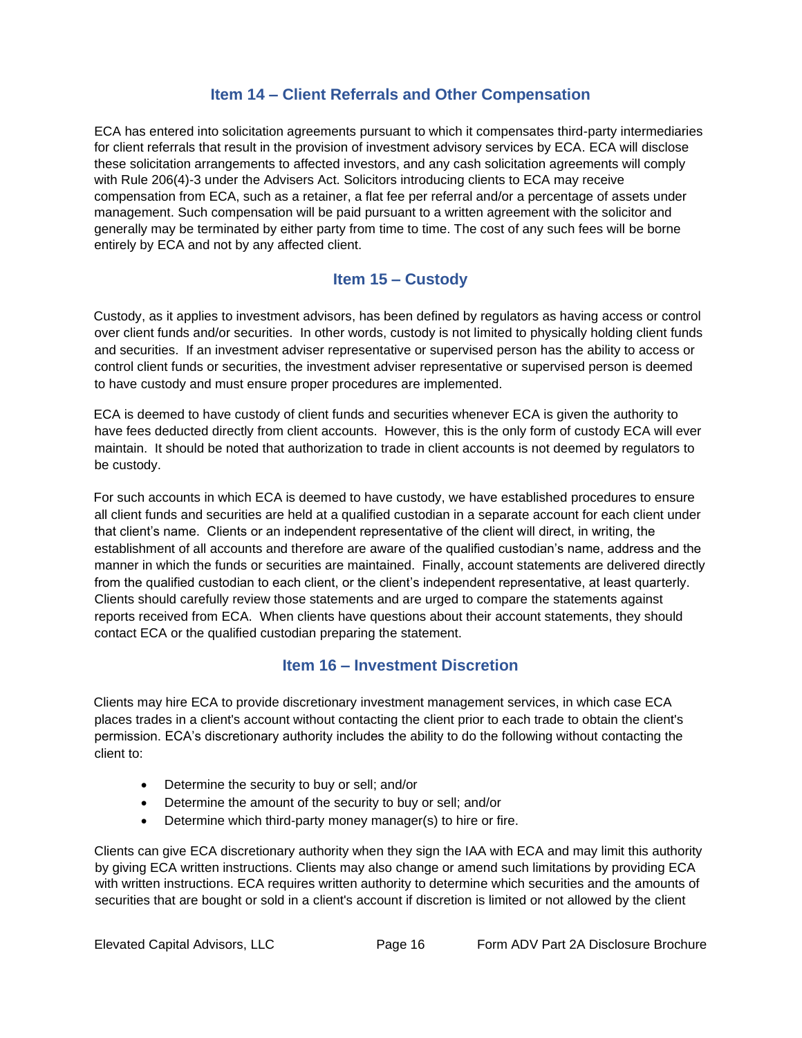### **Item 14 – Client Referrals and Other Compensation**

<span id="page-15-0"></span>ECA has entered into solicitation agreements pursuant to which it compensates third-party intermediaries for client referrals that result in the provision of investment advisory services by ECA. ECA will disclose these solicitation arrangements to affected investors, and any cash solicitation agreements will comply with Rule 206(4)-3 under the Advisers Act. Solicitors introducing clients to ECA may receive compensation from ECA, such as a retainer, a flat fee per referral and/or a percentage of assets under management. Such compensation will be paid pursuant to a written agreement with the solicitor and generally may be terminated by either party from time to time. The cost of any such fees will be borne entirely by ECA and not by any affected client.

# **Item 15 – Custody**

<span id="page-15-1"></span>Custody, as it applies to investment advisors, has been defined by regulators as having access or control over client funds and/or securities. In other words, custody is not limited to physically holding client funds and securities. If an investment adviser representative or supervised person has the ability to access or control client funds or securities, the investment adviser representative or supervised person is deemed to have custody and must ensure proper procedures are implemented.

ECA is deemed to have custody of client funds and securities whenever ECA is given the authority to have fees deducted directly from client accounts. However, this is the only form of custody ECA will ever maintain. It should be noted that authorization to trade in client accounts is not deemed by regulators to be custody.

For such accounts in which ECA is deemed to have custody, we have established procedures to ensure all client funds and securities are held at a qualified custodian in a separate account for each client under that client's name. Clients or an independent representative of the client will direct, in writing, the establishment of all accounts and therefore are aware of the qualified custodian's name, address and the manner in which the funds or securities are maintained. Finally, account statements are delivered directly from the qualified custodian to each client, or the client's independent representative, at least quarterly. Clients should carefully review those statements and are urged to compare the statements against reports received from ECA. When clients have questions about their account statements, they should contact ECA or the qualified custodian preparing the statement.

# **Item 16 – Investment Discretion**

<span id="page-15-2"></span>Clients may hire ECA to provide discretionary investment management services, in which case ECA places trades in a client's account without contacting the client prior to each trade to obtain the client's permission. ECA's discretionary authority includes the ability to do the following without contacting the client to:

- Determine the security to buy or sell; and/or
- Determine the amount of the security to buy or sell; and/or
- Determine which third-party money manager(s) to hire or fire.

Clients can give ECA discretionary authority when they sign the IAA with ECA and may limit this authority by giving ECA written instructions. Clients may also change or amend such limitations by providing ECA with written instructions. ECA requires written authority to determine which securities and the amounts of securities that are bought or sold in a client's account if discretion is limited or not allowed by the client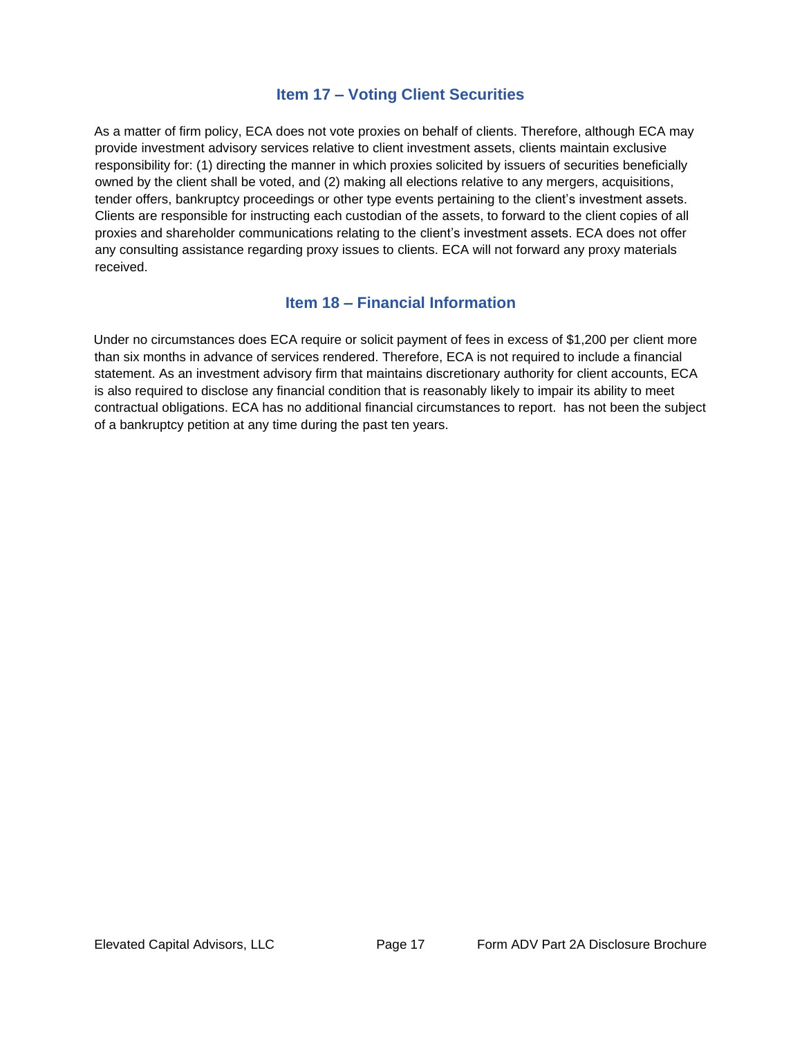### **Item 17 – Voting Client Securities**

<span id="page-16-0"></span>As a matter of firm policy, ECA does not vote proxies on behalf of clients. Therefore, although ECA may provide investment advisory services relative to client investment assets, clients maintain exclusive responsibility for: (1) directing the manner in which proxies solicited by issuers of securities beneficially owned by the client shall be voted, and (2) making all elections relative to any mergers, acquisitions, tender offers, bankruptcy proceedings or other type events pertaining to the client's investment assets. Clients are responsible for instructing each custodian of the assets, to forward to the client copies of all proxies and shareholder communications relating to the client's investment assets. ECA does not offer any consulting assistance regarding proxy issues to clients. ECA will not forward any proxy materials received.

### **Item 18 – Financial Information**

<span id="page-16-1"></span>Under no circumstances does ECA require or solicit payment of fees in excess of \$1,200 per client more than six months in advance of services rendered. Therefore, ECA is not required to include a financial statement. As an investment advisory firm that maintains discretionary authority for client accounts, ECA is also required to disclose any financial condition that is reasonably likely to impair its ability to meet contractual obligations. ECA has no additional financial circumstances to report. has not been the subject of a bankruptcy petition at any time during the past ten years.